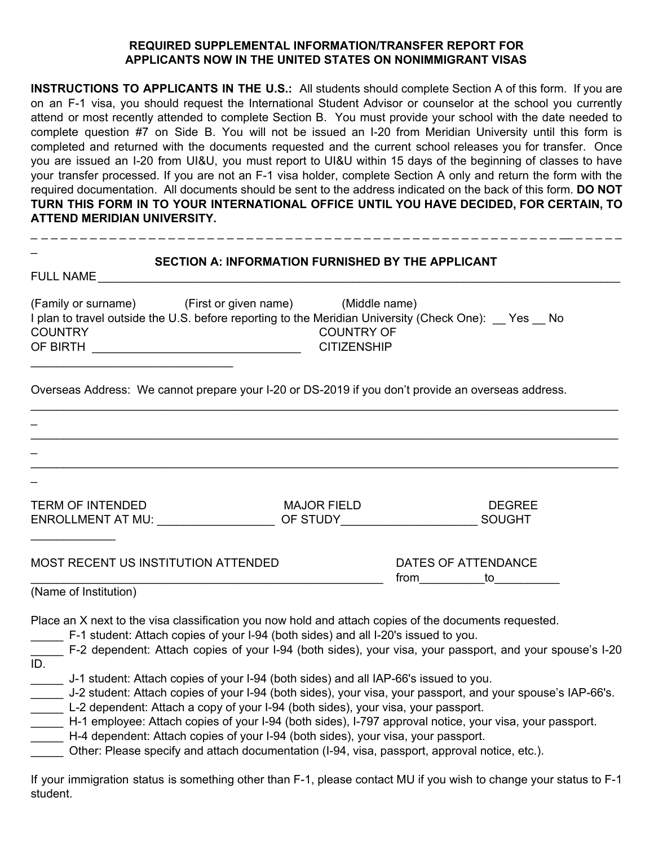## **REQUIRED SUPPLEMENTAL INFORMATION/TRANSFER REPORT FOR APPLICANTS NOW IN THE UNITED STATES ON NONIMMIGRANT VISAS**

**INSTRUCTIONS TO APPLICANTS IN THE U.S.:** All students should complete Section A of this form. If you are on an F-1 visa, you should request the International Student Advisor or counselor at the school you currently attend or most recently attended to complete Section B. You must provide your school with the date needed to complete question #7 on Side B. You will not be issued an I-20 from Meridian University until this form is completed and returned with the documents requested and the current school releases you for transfer. Once you are issued an I-20 from UI&U, you must report to UI&U within 15 days of the beginning of classes to have your transfer processed. If you are not an F-1 visa holder, complete Section A only and return the form with the required documentation. All documents should be sent to the address indicated on the back of this form. **DO NOT TURN THIS FORM IN TO YOUR INTERNATIONAL OFFICE UNTIL YOU HAVE DECIDED, FOR CERTAIN, TO ATTEND MERIDIAN UNIVERSITY.**

| <b>SECTION A: INFORMATION FURNISHED BY THE APPLICANT</b><br><b>FULL NAME</b>          |  |                                                                                                                                              |  |  |  |
|---------------------------------------------------------------------------------------|--|----------------------------------------------------------------------------------------------------------------------------------------------|--|--|--|
| (Family or surname) (First or given name) (Middle name)<br><b>COUNTRY</b><br>OF BIRTH |  | I plan to travel outside the U.S. before reporting to the Meridian University (Check One): Yes No<br><b>COUNTRY OF</b><br><b>CITIZENSHIP</b> |  |  |  |

\_\_\_\_\_\_\_\_\_\_\_\_\_\_\_\_\_\_\_\_\_\_\_\_\_\_\_\_\_\_\_\_\_\_\_\_\_\_\_\_\_\_\_\_\_\_\_\_\_\_\_\_\_\_\_\_\_\_\_\_\_\_\_\_\_\_\_\_\_\_\_\_\_\_\_\_\_\_\_\_\_\_\_\_\_\_\_\_\_\_

Overseas Address: We cannot prepare your I-20 or DS-2019 if you don't provide an overseas address.

| <b>TERM OF INTENDED</b><br>ENROLLMENT AT MU:                                                                                                                                                                                                                                                                                                                                                        | <b>MAJOR FIELD</b><br>OF STUDY |                                | <b>DEGREE</b><br><b>SOUGHT</b> |
|-----------------------------------------------------------------------------------------------------------------------------------------------------------------------------------------------------------------------------------------------------------------------------------------------------------------------------------------------------------------------------------------------------|--------------------------------|--------------------------------|--------------------------------|
| MOST RECENT US INSTITUTION ATTENDED                                                                                                                                                                                                                                                                                                                                                                 |                                | DATES OF ATTENDANCE<br>from to |                                |
| (Name of Institution)                                                                                                                                                                                                                                                                                                                                                                               |                                |                                |                                |
| Place an X next to the visa classification you now hold and attach copies of the documents requested.<br>F-1 student: Attach copies of your I-94 (both sides) and all I-20's issued to you.<br>F-2 dependent: Attach copies of your I-94 (both sides), your visa, your passport, and your spouse's I-20<br>ID.                                                                                      |                                |                                |                                |
| J-1 student: Attach copies of your I-94 (both sides) and all IAP-66's issued to you.<br>J-2 student: Attach copies of your I-94 (both sides), your visa, your passport, and your spouse's IAP-66's.<br>L-2 dependent: Attach a copy of your I-94 (both sides), your visa, your passport.<br>H-1 employee: Attach copies of your I-94 (both sides), I-797 approval notice, your visa, your passport. |                                |                                |                                |

H-4 dependent: Attach copies of your I-94 (both sides), your visa, your passport.

Other: Please specify and attach documentation (I-94, visa, passport, approval notice, etc.).

If your immigration status is something other than F-1, please contact MU if you wish to change your status to F-1 student.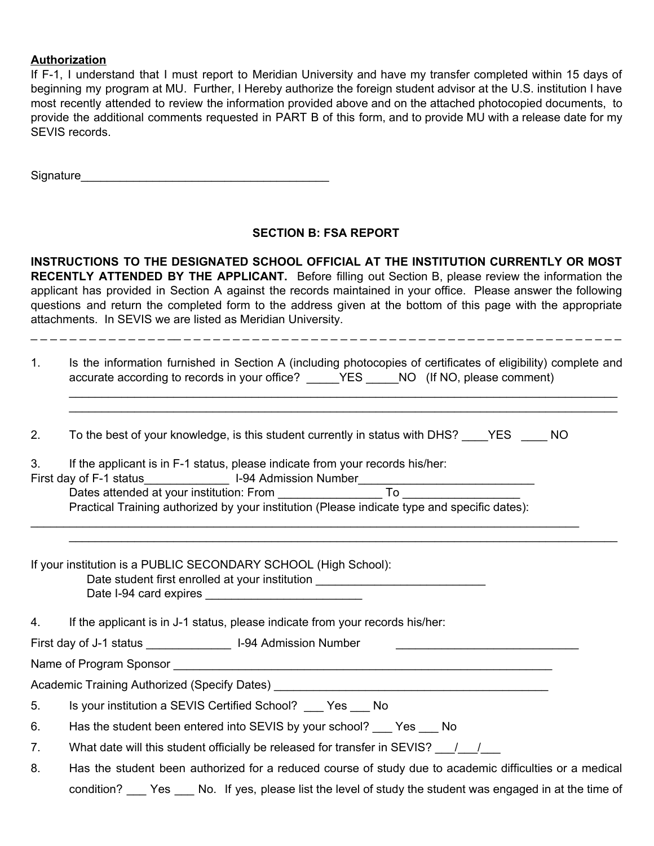## **Authorization**

If F-1, I understand that I must report to Meridian University and have my transfer completed within 15 days of beginning my program at MU. Further, I Hereby authorize the foreign student advisor at the U.S. institution I have most recently attended to review the information provided above and on the attached photocopied documents, to provide the additional comments requested in PART B of this form, and to provide MU with a release date for my SEVIS records.

Signature

## **SECTION B: FSA REPORT**

**INSTRUCTIONS TO THE DESIGNATED SCHOOL OFFICIAL AT THE INSTITUTION CURRENTLY OR MOST RECENTLY ATTENDED BY THE APPLICANT.** Before filling out Section B, please review the information the applicant has provided in Section A against the records maintained in your office. Please answer the following questions and return the completed form to the address given at the bottom of this page with the appropriate attachments. In SEVIS we are listed as Meridian University.

1. Is the information furnished in Section A (including photocopies of certificates of eligibility) complete and accurate according to records in your office? \_\_\_\_\_YES \_\_\_\_\_NO (If NO, please comment)

\_\_\_\_\_\_\_\_\_\_\_\_\_\_\_\_\_\_\_\_\_\_\_\_\_\_\_\_\_\_\_\_\_\_\_\_\_\_\_\_\_\_\_\_\_\_\_\_\_\_\_\_\_\_\_\_\_\_\_\_\_\_\_\_\_\_\_\_\_\_\_\_\_\_\_\_\_\_\_\_\_\_\_\_ \_\_\_\_\_\_\_\_\_\_\_\_\_\_\_\_\_\_\_\_\_\_\_\_\_\_\_\_\_\_\_\_\_\_\_\_\_\_\_\_\_\_\_\_\_\_\_\_\_\_\_\_\_\_\_\_\_\_\_\_\_\_\_\_\_\_\_\_\_\_\_\_\_\_\_\_\_\_\_\_\_\_\_\_

\_\_\_\_\_\_\_\_\_\_\_\_\_\_\_\_\_\_\_\_\_\_\_\_\_\_\_\_\_\_\_\_\_\_\_\_\_\_\_\_\_\_\_\_\_\_\_\_\_\_\_\_\_\_\_\_\_\_\_\_\_\_\_\_\_\_\_\_\_\_\_\_\_\_\_\_\_\_\_\_\_\_\_\_

\_ \_ \_ \_ \_ \_ \_ \_ \_ \_ \_ \_ \_ \_ \_\_ \_ \_ \_ \_ \_ \_ \_ \_ \_ \_ \_ \_ \_ \_ \_ \_ \_ \_ \_ \_ \_ \_ \_ \_ \_ \_ \_ \_ \_ \_ \_ \_ \_ \_ \_ \_ \_ \_ \_ \_ \_ \_ \_ \_ \_

2. To the best of your knowledge, is this student currently in status with DHS? YES NO

\_\_\_\_\_\_\_\_\_\_\_\_\_\_\_\_\_\_\_\_\_\_\_\_\_\_\_\_\_\_\_\_\_\_\_\_\_\_\_\_\_\_\_\_\_\_\_\_\_\_\_\_\_\_\_\_\_\_\_\_\_\_\_\_\_\_\_\_\_\_\_\_\_\_\_\_\_\_\_\_\_\_\_\_

| 3. | If the applicant is in F-1 status, please indicate from your records his/her: |  |
|----|-------------------------------------------------------------------------------|--|
|    |                                                                               |  |

| First day of F-1 status                  | I-94 Admission Number |                                                                                              |  |
|------------------------------------------|-----------------------|----------------------------------------------------------------------------------------------|--|
| Dates attended at your institution: From |                       |                                                                                              |  |
|                                          |                       | Practical Training authorized by your institution (Please indicate type and specific dates): |  |

If your institution is a PUBLIC SECONDARY SCHOOL (High School):

Date student first enrolled at your institution Date I-94 card expires

4. If the applicant is in J-1 status, please indicate from your records his/her:

First day of J-1 status \_\_\_\_\_\_\_\_\_\_\_\_\_\_\_\_\_\_\_\_\_\_\_\_\_ I-94 Admission Number

Name of Program Sponsor

Academic Training Authorized (Specify Dates) \_\_\_\_\_\_\_\_\_\_\_\_\_\_\_\_\_\_\_\_\_\_\_\_\_\_\_\_\_\_\_\_\_\_\_

5. Is your institution a SEVIS Certified School? Yes No

6. Has the student been entered into SEVIS by your school? \_\_\_ Yes No

7. What date will this student officially be released for transfer in SEVIS?  $\frac{1}{2}$ 

8. Has the student been authorized for a reduced course of study due to academic difficulties or a medical condition? Yes No. If yes, please list the level of study the student was engaged in at the time of